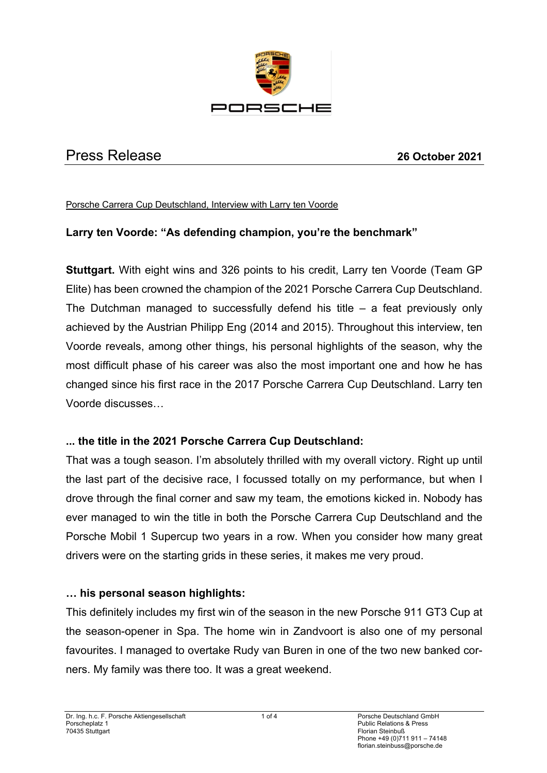

# Press Release **26 October 2021**

Porsche Carrera Cup Deutschland, Interview with Larry ten Voorde

## **Larry ten Voorde: "As defending champion, you're the benchmark"**

**Stuttgart.** With eight wins and 326 points to his credit, Larry ten Voorde (Team GP Elite) has been crowned the champion of the 2021 Porsche Carrera Cup Deutschland. The Dutchman managed to successfully defend his title  $-$  a feat previously only achieved by the Austrian Philipp Eng (2014 and 2015). Throughout this interview, ten Voorde reveals, among other things, his personal highlights of the season, why the most difficult phase of his career was also the most important one and how he has changed since his first race in the 2017 Porsche Carrera Cup Deutschland. Larry ten Voorde discusses…

## **... the title in the 2021 Porsche Carrera Cup Deutschland:**

That was a tough season. I'm absolutely thrilled with my overall victory. Right up until the last part of the decisive race, I focussed totally on my performance, but when I drove through the final corner and saw my team, the emotions kicked in. Nobody has ever managed to win the title in both the Porsche Carrera Cup Deutschland and the Porsche Mobil 1 Supercup two years in a row. When you consider how many great drivers were on the starting grids in these series, it makes me very proud.

#### **… his personal season highlights:**

This definitely includes my first win of the season in the new Porsche 911 GT3 Cup at the season-opener in Spa. The home win in Zandvoort is also one of my personal favourites. I managed to overtake Rudy van Buren in one of the two new banked corners. My family was there too. It was a great weekend.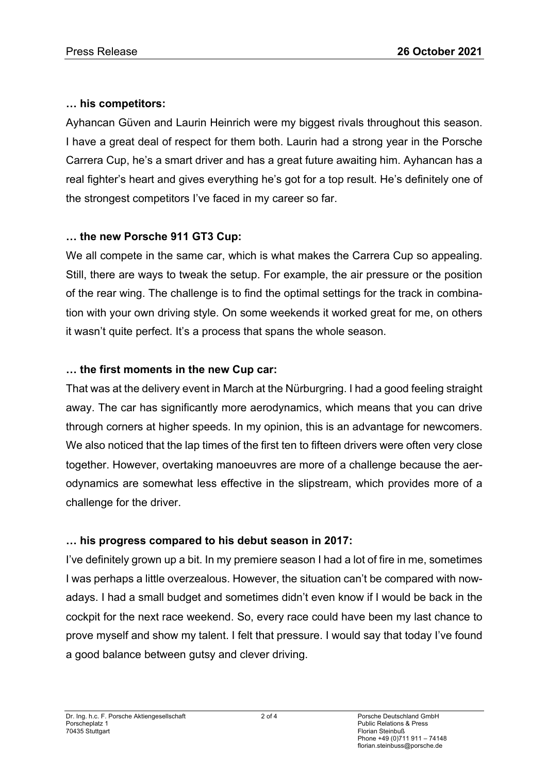#### **… his competitors:**

Ayhancan Güven and Laurin Heinrich were my biggest rivals throughout this season. I have a great deal of respect for them both. Laurin had a strong year in the Porsche Carrera Cup, he's a smart driver and has a great future awaiting him. Ayhancan has a real fighter's heart and gives everything he's got for a top result. He's definitely one of the strongest competitors I've faced in my career so far.

## **… the new Porsche 911 GT3 Cup:**

We all compete in the same car, which is what makes the Carrera Cup so appealing. Still, there are ways to tweak the setup. For example, the air pressure or the position of the rear wing. The challenge is to find the optimal settings for the track in combination with your own driving style. On some weekends it worked great for me, on others it wasn't quite perfect. It's a process that spans the whole season.

#### **… the first moments in the new Cup car:**

That was at the delivery event in March at the Nürburgring. I had a good feeling straight away. The car has significantly more aerodynamics, which means that you can drive through corners at higher speeds. In my opinion, this is an advantage for newcomers. We also noticed that the lap times of the first ten to fifteen drivers were often very close together. However, overtaking manoeuvres are more of a challenge because the aerodynamics are somewhat less effective in the slipstream, which provides more of a challenge for the driver.

## **… his progress compared to his debut season in 2017:**

I've definitely grown up a bit. In my premiere season I had a lot of fire in me, sometimes I was perhaps a little overzealous. However, the situation can't be compared with nowadays. I had a small budget and sometimes didn't even know if I would be back in the cockpit for the next race weekend. So, every race could have been my last chance to prove myself and show my talent. I felt that pressure. I would say that today I've found a good balance between gutsy and clever driving.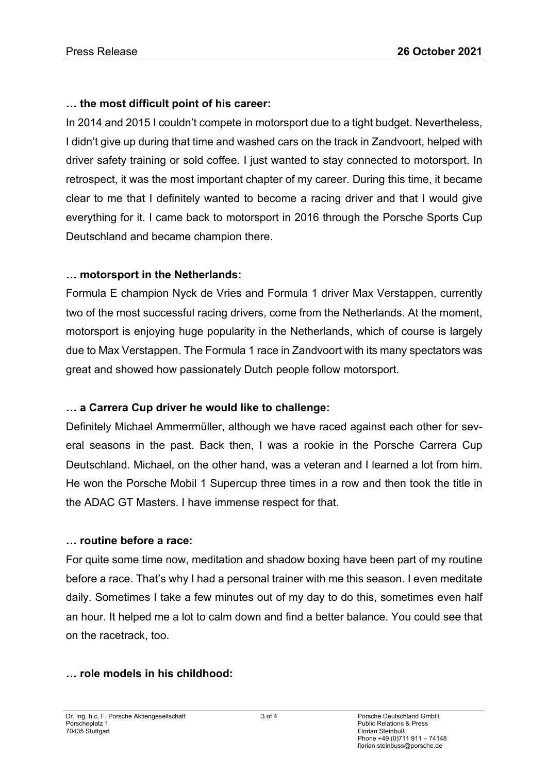# **… the most difficult point of his career:**

In 2014 and 2015 I couldn't compete in motorsport due to a tight budget. Nevertheless, I didn't give up during that time and washed cars on the track in Zandvoort, helped with driver safety training or sold coffee. I just wanted to stay connected to motorsport. In retrospect, it was the most important chapter of my career. During this time, it became clear to me that I definitely wanted to become a racing driver and that I would give everything for it. I came back to motorsport in 2016 through the Porsche Sports Cup Deutschland and became champion there.

## **… motorsport in the Netherlands:**

Formula E champion Nyck de Vries and Formula 1 driver Max Verstappen, currently two of the most successful racing drivers, come from the Netherlands. At the moment, motorsport is enjoying huge popularity in the Netherlands, which of course is largely due to Max Verstappen. The Formula 1 race in Zandvoort with its many spectators was great and showed how passionately Dutch people follow motorsport.

# **… a Carrera Cup driver he would like to challenge:**

Definitely Michael Ammermüller, although we have raced against each other for several seasons in the past. Back then, I was a rookie in the Porsche Carrera Cup Deutschland. Michael, on the other hand, was a veteran and I learned a lot from him. He won the Porsche Mobil 1 Supercup three times in a row and then took the title in the ADAC GT Masters. I have immense respect for that.

## **… routine before a race:**

For quite some time now, meditation and shadow boxing have been part of my routine before a race. That's why I had a personal trainer with me this season. I even meditate daily. Sometimes I take a few minutes out of my day to do this, sometimes even half an hour. It helped me a lot to calm down and find a better balance. You could see that on the racetrack, too.

## **… role models in his childhood:**